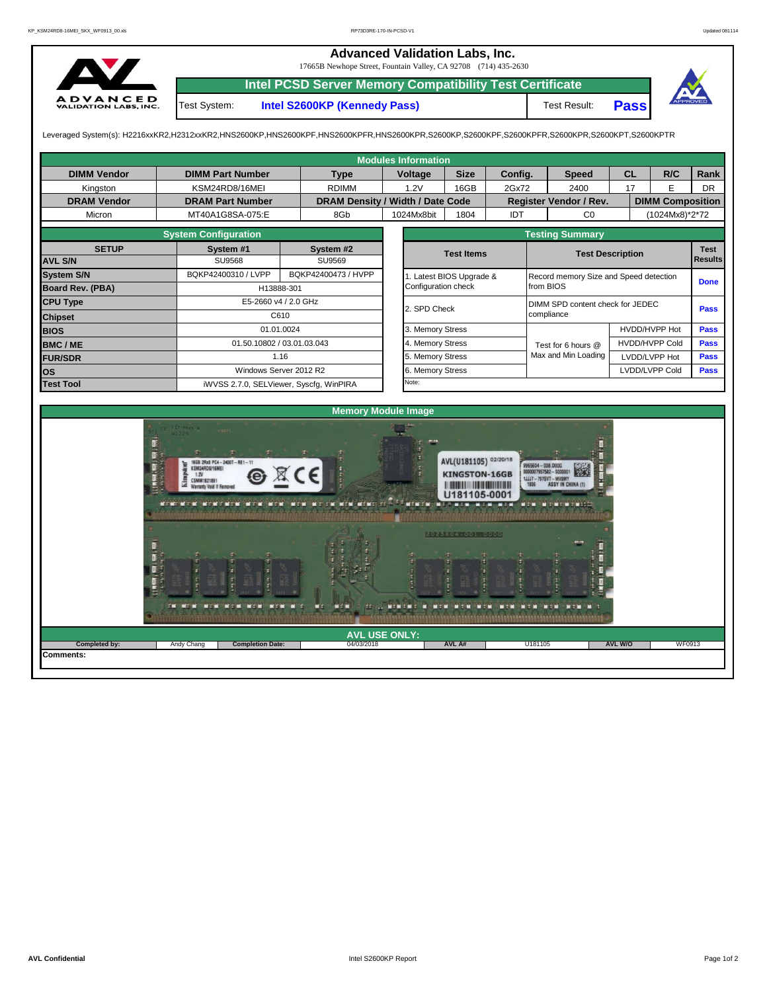## **Advanced Validation Labs, Inc.**

17665B Newhope Street, Fountain Valley, CA 92708 (714) 435-2630



**Intel PCSD Server Memory Compatibility Test Certificate**

Test System: **Intel S2600KP (Kennedy Pass)** Test Result:





Leveraged System(s): H2216xxKR2,H2312xxKR2,HNS2600KP,HNS2600KPF,HNS2600KPFR,HNS2600KPR,S2600KP,S2600KPF,S2600KPFR,S2600KPR,S2600KPT,S2600KPTR

|                                   |                                                                                                                                                                                                                |                            | <b>Modules Information</b>                               |                                                                                                         |                   |                                                                                                                      |                         |                |           |  |  |
|-----------------------------------|----------------------------------------------------------------------------------------------------------------------------------------------------------------------------------------------------------------|----------------------------|----------------------------------------------------------|---------------------------------------------------------------------------------------------------------|-------------------|----------------------------------------------------------------------------------------------------------------------|-------------------------|----------------|-----------|--|--|
| <b>DIMM Vendor</b>                | <b>DIMM Part Number</b>                                                                                                                                                                                        | <b>Type</b>                | Voltage                                                  | <b>Size</b><br>Config.                                                                                  |                   | <b>Speed</b>                                                                                                         | <b>CL</b>               | R/C            | Rank      |  |  |
| Kingston                          | KSM24RD8/16MEI                                                                                                                                                                                                 | <b>RDIMM</b>               | 1.2V                                                     | 16GB                                                                                                    | 2Gx72             | 2400                                                                                                                 | 17                      | E              | <b>DR</b> |  |  |
| <b>DRAM Vendor</b>                | <b>DRAM Part Number</b>                                                                                                                                                                                        |                            | DRAM Density / Width / Date Code                         |                                                                                                         |                   | Register Vendor / Rev.                                                                                               | <b>DIMM Composition</b> |                |           |  |  |
| Micron                            | MT40A1G8SA-075:E                                                                                                                                                                                               | 8Gb                        | 1024Mx8bit                                               | 1804                                                                                                    | IDT               | CO                                                                                                                   |                         | (1024Mx8)*2*72 |           |  |  |
|                                   | <b>System Configuration</b>                                                                                                                                                                                    |                            |                                                          |                                                                                                         |                   | <b>Testing Summary</b>                                                                                               |                         |                |           |  |  |
| <b>SETUP</b>                      | System #1                                                                                                                                                                                                      | System #2                  |                                                          | <b>Test Items</b>                                                                                       |                   |                                                                                                                      | <b>Test Description</b> | <b>Test</b>    |           |  |  |
| <b>AVL S/N</b>                    | <b>SU9568</b>                                                                                                                                                                                                  | SU9569                     |                                                          |                                                                                                         |                   |                                                                                                                      |                         | <b>Results</b> |           |  |  |
| <b>System S/N</b>                 | BQKP42400310 / LVPP                                                                                                                                                                                            | BQKP42400473 / HVPP        | 1. Latest BIOS Upgrade &                                 | Record memory Size and Speed detection                                                                  |                   | <b>Done</b>                                                                                                          |                         |                |           |  |  |
| <b>Board Rev. (PBA)</b>           |                                                                                                                                                                                                                | H13888-301                 | Configuration check                                      |                                                                                                         |                   | from BIOS                                                                                                            |                         |                |           |  |  |
| <b>CPU Type</b>                   |                                                                                                                                                                                                                | E5-2660 v4 / 2.0 GHz       | 2. SPD Check                                             |                                                                                                         |                   | DIMM SPD content check for JEDEC                                                                                     |                         |                | Pass      |  |  |
| <b>Chipset</b>                    |                                                                                                                                                                                                                | C610                       |                                                          |                                                                                                         |                   | compliance                                                                                                           |                         |                |           |  |  |
| <b>BIOS</b>                       |                                                                                                                                                                                                                | 01.01.0024                 | 3. Memory Stress                                         |                                                                                                         |                   |                                                                                                                      | HVDD/HVPP Hot           | <b>Pass</b>    |           |  |  |
| <b>BMC/ME</b>                     |                                                                                                                                                                                                                | 01.50.10802 / 03.01.03.043 | 4. Memory Stress                                         |                                                                                                         |                   | Test for 6 hours @                                                                                                   | HVDD/HVPP Cold          | <b>Pass</b>    |           |  |  |
| <b>FUR/SDR</b>                    |                                                                                                                                                                                                                | 1.16                       | 5. Memory Stress                                         |                                                                                                         |                   | Max and Min Loading                                                                                                  | LVDD/LVPP Hot           | <b>Pass</b>    |           |  |  |
| los                               |                                                                                                                                                                                                                | Windows Server 2012 R2     | 6. Memory Stress                                         |                                                                                                         |                   |                                                                                                                      | LVDD/LVPP Cold          | <b>Pass</b>    |           |  |  |
| <b>Test Tool</b>                  | iWVSS 2.7.0, SELViewer, Syscfg, WinPIRA                                                                                                                                                                        |                            | Note:                                                    |                                                                                                         |                   |                                                                                                                      |                         |                |           |  |  |
|                                   | 16GB 2Rx8 PC4-2400T-RE1-11<br>KSM24RD8/16MEI<br>1.2V<br>CSMM1821891<br><b>Warranty Void If Removed</b><br><b>NEW WERE NEWERED IN THE NEW</b><br>m<br><b>PASSE</b><br><b>TEST</b><br><b>TEST</b><br><b>CONT</b> | <b>NEW NECK</b><br>MK D    | <b>Memory Module Image</b><br><b>THEFT</b><br>maran<br>m | AVL(U181105) 02/20/18<br><b>KINGSTON-16GB</b><br>U181105-0001<br>2025604-001.D00G<br><b>NEW WEB WEB</b> | mar<br><b>NED</b> | 9965604 - 038.DOOG<br>0000007957582 - \$00000<br>1JJJ7-797SVT-MV9MY<br><b>ASSY IN CHINA (1)</b><br><b>MEDITE THE</b> |                         |                |           |  |  |
|                                   |                                                                                                                                                                                                                |                            | <b>AVL USE ONLY:</b>                                     |                                                                                                         |                   |                                                                                                                      |                         |                |           |  |  |
| Completed by:<br><b>Comments:</b> | <b>Completion Date:</b><br>Andy Chang                                                                                                                                                                          |                            | 04/03/2018                                               | AVL A#                                                                                                  |                   | U181105                                                                                                              | <b>AVL W/O</b>          | WF0913         |           |  |  |